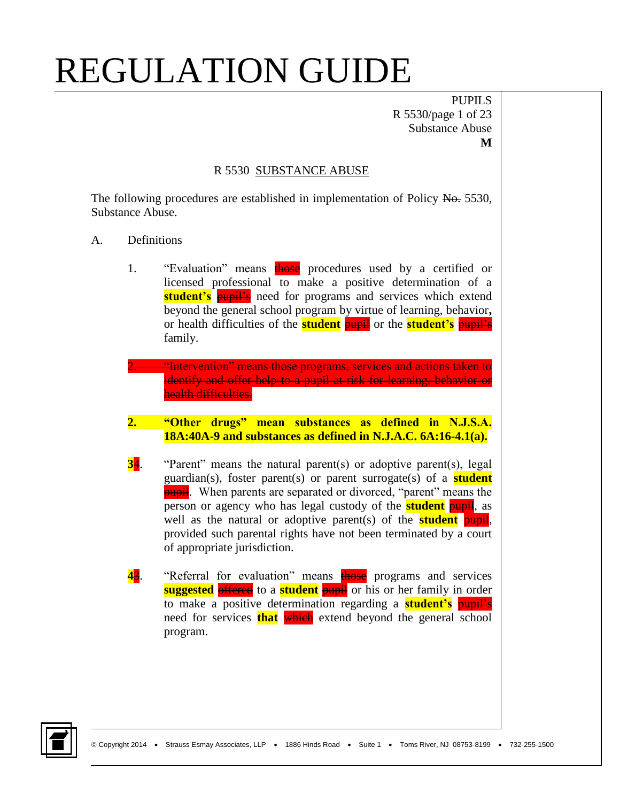PUPILS R 5530/page 1 of 23 Substance Abuse **M**

#### R 5530 SUBSTANCE ABUSE

The following procedures are established in implementation of Policy No. 5530, Substance Abuse.

- A. Definitions
	- 1. "Evaluation" means those procedures used by a certified or licensed professional to make a positive determination of a **student's pupil's** need for programs and services which extend beyond the general school program by virtue of learning, behavior**,** or health difficulties of the **student** pupil or the **student's** pupil's family.
	- **2. "Intervention" means those programs, services and actions taken to** identify and offer help to a pupil at risk for learning, behavior or health difficulties.
	- **2. "Other drugs" mean substances as defined in N.J.S.A. 18A:40A-9 and substances as defined in N.J.A.C. 6A:16-4.1(a).**
	- **34.** "Parent" means the natural parent(s) or adoptive parent(s), legal guardian(s), foster parent(s) or parent surrogate(s) of a **student pupil**. When parents are separated or divorced, "parent" means the person or agency who has legal custody of the **student** pupil, as well as the natural or adoptive parent(s) of the **student** pupil, provided such parental rights have not been terminated by a court of appropriate jurisdiction.
	- **43.** "Referral for evaluation" means **those** programs and services **suggested offered** to a **student pupil** or his or her family in order to make a positive determination regarding a **student's** pupil's need for services **that** which extend beyond the general school program.

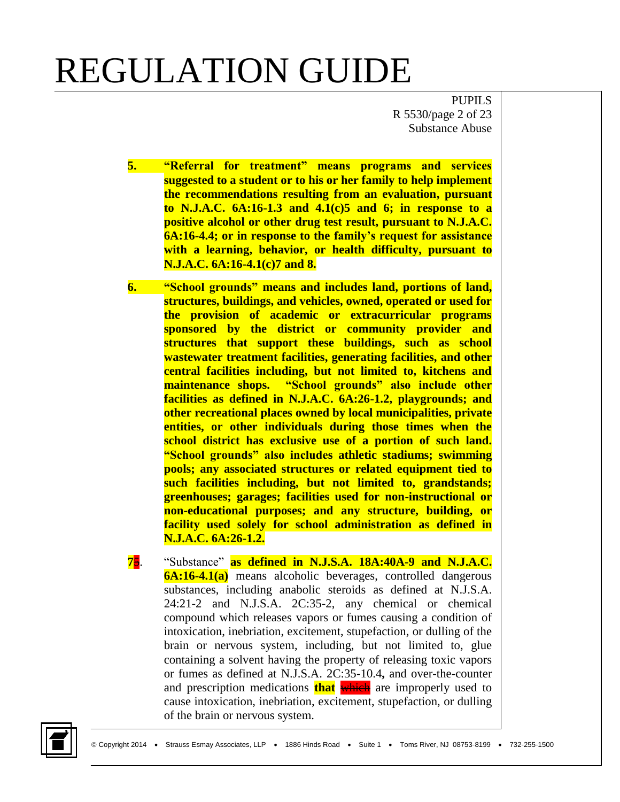PUPILS R 5530/page 2 of 23 Substance Abuse

- **5. "Referral for treatment" means programs and services suggested to a student or to his or her family to help implement the recommendations resulting from an evaluation, pursuant to N.J.A.C. 6A:16-1.3 and 4.1(c)5 and 6; in response to a positive alcohol or other drug test result, pursuant to N.J.A.C. 6A:16-4.4; or in response to the family's request for assistance with a learning, behavior, or health difficulty, pursuant to N.J.A.C. 6A:16-4.1(c)7 and 8.**
- **6. "School grounds" means and includes land, portions of land, structures, buildings, and vehicles, owned, operated or used for the provision of academic or extracurricular programs sponsored by the district or community provider and structures that support these buildings, such as school wastewater treatment facilities, generating facilities, and other central facilities including, but not limited to, kitchens and maintenance shops. "School grounds" also include other facilities as defined in N.J.A.C. 6A:26-1.2, playgrounds; and other recreational places owned by local municipalities, private entities, or other individuals during those times when the school district has exclusive use of a portion of such land. "School grounds" also includes athletic stadiums; swimming pools; any associated structures or related equipment tied to such facilities including, but not limited to, grandstands; greenhouses; garages; facilities used for non-instructional or non-educational purposes; and any structure, building, or facility used solely for school administration as defined in N.J.A.C. 6A:26-1.2.**
- **7**5. "Substance" **as defined in N.J.S.A. 18A:40A-9 and N.J.A.C. 6A:16-4.1(a)** means alcoholic beverages, controlled dangerous substances, including anabolic steroids as defined at N.J.S.A. 24:21-2 and N.J.S.A. 2C:35-2, any chemical or chemical compound which releases vapors or fumes causing a condition of intoxication, inebriation, excitement, stupefaction, or dulling of the brain or nervous system, including, but not limited to, glue containing a solvent having the property of releasing toxic vapors or fumes as defined at N.J.S.A. 2C:35-10.4**,** and over-the-counter and prescription medications **that** which are improperly used to cause intoxication, inebriation, excitement, stupefaction, or dulling of the brain or nervous system.

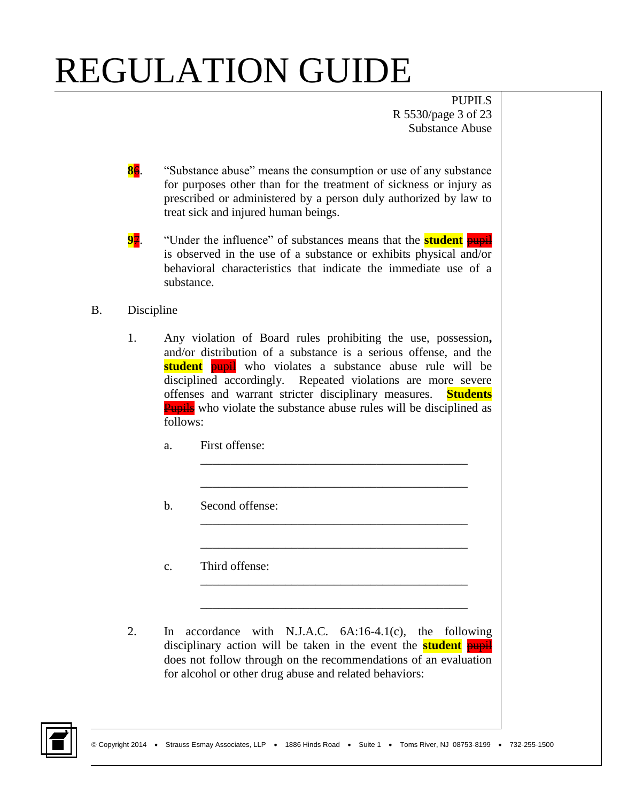PUPILS R 5530/page 3 of 23 Substance Abuse

- **86.** "Substance abuse" means the consumption or use of any substance for purposes other than for the treatment of sickness or injury as prescribed or administered by a person duly authorized by law to treat sick and injured human beings.
- **97.** "Under the influence" of substances means that the **student** pupil is observed in the use of a substance or exhibits physical and/or behavioral characteristics that indicate the immediate use of a substance.
- B. Discipline
	- 1. Any violation of Board rules prohibiting the use, possession**,** and/or distribution of a substance is a serious offense, and the **student pupil** who violates a substance abuse rule will be disciplined accordingly. Repeated violations are more severe offenses and warrant stricter disciplinary measures. **Students Pupils** who violate the substance abuse rules will be disciplined as follows:

\_\_\_\_\_\_\_\_\_\_\_\_\_\_\_\_\_\_\_\_\_\_\_\_\_\_\_\_\_\_\_\_\_\_\_\_\_\_\_\_\_\_\_\_

\_\_\_\_\_\_\_\_\_\_\_\_\_\_\_\_\_\_\_\_\_\_\_\_\_\_\_\_\_\_\_\_\_\_\_\_\_\_\_\_\_\_\_\_

\_\_\_\_\_\_\_\_\_\_\_\_\_\_\_\_\_\_\_\_\_\_\_\_\_\_\_\_\_\_\_\_\_\_\_\_\_\_\_\_\_\_\_\_

\_\_\_\_\_\_\_\_\_\_\_\_\_\_\_\_\_\_\_\_\_\_\_\_\_\_\_\_\_\_\_\_\_\_\_\_\_\_\_\_\_\_\_\_

\_\_\_\_\_\_\_\_\_\_\_\_\_\_\_\_\_\_\_\_\_\_\_\_\_\_\_\_\_\_\_\_\_\_\_\_\_\_\_\_\_\_\_\_

\_\_\_\_\_\_\_\_\_\_\_\_\_\_\_\_\_\_\_\_\_\_\_\_\_\_\_\_\_\_\_\_\_\_\_\_\_\_\_\_\_\_\_\_

- a. First offense:
- b. Second offense:
- c. Third offense:
- 2. In accordance with N.J.A.C. 6A:16-4.1(c), the following disciplinary action will be taken in the event the **student** pupil does not follow through on the recommendations of an evaluation for alcohol or other drug abuse and related behaviors:

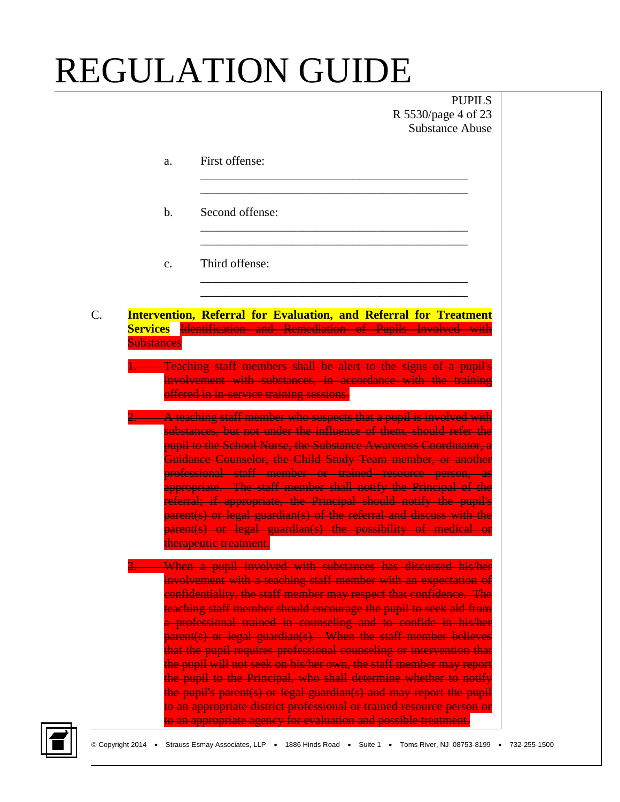PUPILS R 5530/page 4 of 23 Substance Abuse

|    | a.                                   | First offense:                                                                                                                                                                                                                                                                                                                                                                                                                                                                                                                                                                                                                                                                                                                                                                                                                                       |
|----|--------------------------------------|------------------------------------------------------------------------------------------------------------------------------------------------------------------------------------------------------------------------------------------------------------------------------------------------------------------------------------------------------------------------------------------------------------------------------------------------------------------------------------------------------------------------------------------------------------------------------------------------------------------------------------------------------------------------------------------------------------------------------------------------------------------------------------------------------------------------------------------------------|
|    | $\mathbf b$ .                        | Second offense:                                                                                                                                                                                                                                                                                                                                                                                                                                                                                                                                                                                                                                                                                                                                                                                                                                      |
|    | c.                                   | Third offense:                                                                                                                                                                                                                                                                                                                                                                                                                                                                                                                                                                                                                                                                                                                                                                                                                                       |
| C. | <b>Services</b><br><b>Substances</b> | <b>Intervention, Referral for Evaluation, and Referral for Treatment</b><br>Identification and Remediation of Pupils Involved with                                                                                                                                                                                                                                                                                                                                                                                                                                                                                                                                                                                                                                                                                                                   |
|    |                                      | <b>Teaching staff members shall be alert to the signs of a pupil's</b><br>involvement with substances, in accordance with the training<br>offered in in service training sessions.                                                                                                                                                                                                                                                                                                                                                                                                                                                                                                                                                                                                                                                                   |
|    |                                      | A teaching staff member who suspects that a pupil is involved with<br>substances, but not under the influence of them, should refer the<br>pupil to the School Nurse, the Substance Awareness Coordinator, a<br>Guidance Counselor, the Child Study Team member, or another<br>professional staff member or trained resource person, as<br>appropriate. The staff member shall notify the Principal of the<br>referral; if appropriate, the Principal should notify the pupil's<br>parent(s) or legal guardian(s) of the referral and discuss with the<br>parent(s) or legal guardian(s) the possibility of medical or<br>therapeutic treatment.                                                                                                                                                                                                     |
|    |                                      | When a pupil involved with substances has discussed his/her<br>involvement with a teaching staff member with an expectation of<br>confidentiality, the staff member may respect that confidence. The<br>teaching staff member should encourage the pupil to seek aid from<br>a professional trained in counseling and to confide in his/her<br>parent(s) or legal guardian(s). When the staff member believes<br>that the pupil requires professional counseling or intervention that<br>the pupil will not seek on his/her own, the staff member may report<br>the pupil to the Principal, who shall determine whether to notify<br>the pupil's parent(s) or legal guardian(s) and may report the pupil<br>to an appropriate district professional or trained resource person or<br>to an appropriate agency for evaluation and possible treatment. |

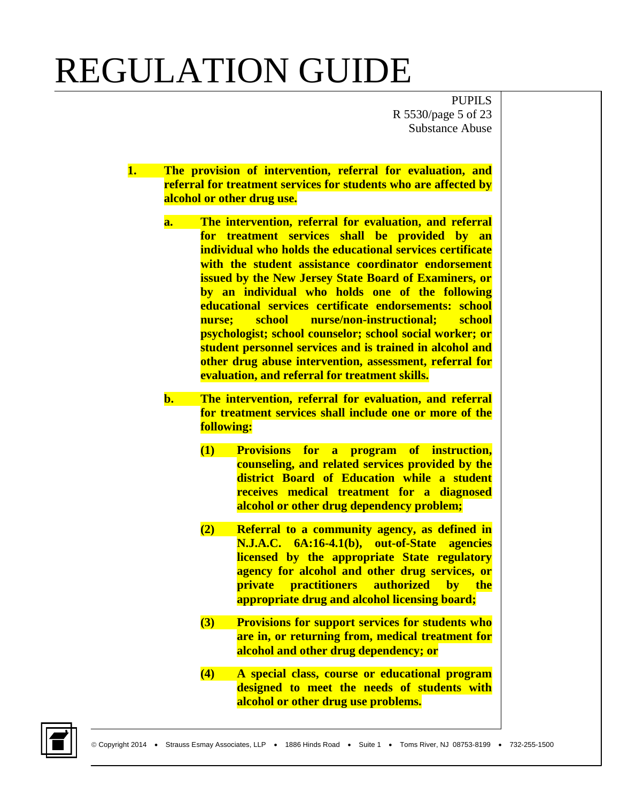PUPILS R 5530/page 5 of 23 Substance Abuse

- **1. The provision of intervention, referral for evaluation, and referral for treatment services for students who are affected by alcohol or other drug use.**
	- **a. The intervention, referral for evaluation, and referral for treatment services shall be provided by an individual who holds the educational services certificate with the student assistance coordinator endorsement issued by the New Jersey State Board of Examiners, or by an individual who holds one of the following educational services certificate endorsements: school nurse; school nurse/non-instructional; school psychologist; school counselor; school social worker; or student personnel services and is trained in alcohol and other drug abuse intervention, assessment, referral for evaluation, and referral for treatment skills.**
	- **b. The intervention, referral for evaluation, and referral for treatment services shall include one or more of the following:**
		- **(1) Provisions for a program of instruction, counseling, and related services provided by the district Board of Education while a student receives medical treatment for a diagnosed alcohol or other drug dependency problem;**
		- **(2) Referral to a community agency, as defined in N.J.A.C. 6A:16-4.1(b), out-of-State agencies licensed by the appropriate State regulatory agency for alcohol and other drug services, or private practitioners authorized by the appropriate drug and alcohol licensing board;**
		- **(3) Provisions for support services for students who are in, or returning from, medical treatment for alcohol and other drug dependency; or**
		- **(4) A special class, course or educational program designed to meet the needs of students with alcohol or other drug use problems.**

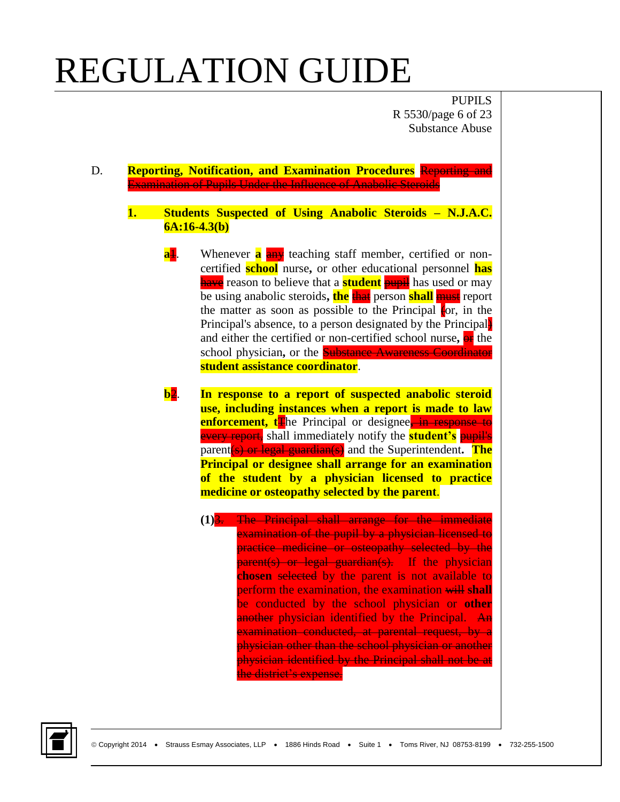PUPILS R 5530/page 6 of 23 Substance Abuse

- D. **Reporting, Notification, and Examination Procedures** Reporting and Examination of Pupils Under the Influence of Anabolic Steroids
	- **1. Students Suspected of Using Anabolic Steroids – N.J.A.C. 6A:16-4.3(b)**
		- **a<sup>1</sup>.** Whenever **a** any teaching staff member, certified or noncertified **school** nurse**,** or other educational personnel **has have** reason to believe that a **student pupil** has used or may be using anabolic steroids**, the** that person **shall** must report the matter as soon as possible to the Principal  $\epsilon$  or, in the Principal's absence, to a person designated by the Principal and either the certified or non-certified school nurse**,** or the school physician**,** or the Substance Awareness Coordinator **student assistance coordinator**.
		- **b**2. **In response to a report of suspected anabolic steroid use, including instances when a report is made to law enforcement, t**The Principal or designee<sup>-</sup> in response to every report, shall immediately notify the **student's** pupil's parent(s) or legal guardian(s) and the Superintendent**. The Principal or designee shall arrange for an examination of the student by a physician licensed to practice medicine or osteopathy selected by the parent**.
			- **(1)**3. The Principal shall arrange for the immediate examination of the pupil by a physician licensed to practice medicine or osteopathy selected by the parent(s) or legal guardian(s). If the physician **chosen** selected by the parent is not available to perform the examination, the examination will **shall**  be conducted by the school physician or **other**  another physician identified by the Principal. An examination conducted, at parental request, by a physician other than the school physician or another physician identified by the Principal shall not be at the district's expense.

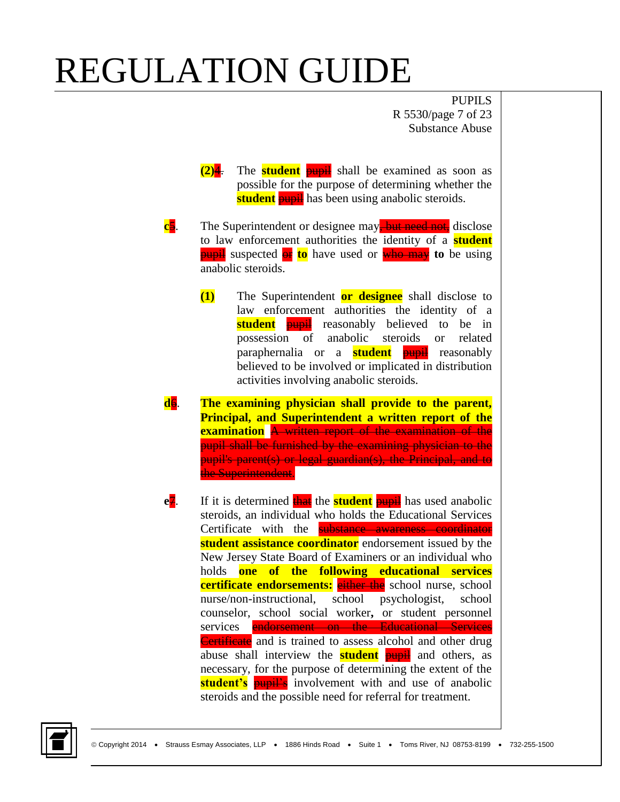PUPILS R 5530/page 7 of 23 Substance Abuse

- **(2)**4. The **student** pupil shall be examined as soon as possible for the purpose of determining whether the **student pupil** has been using anabolic steroids.
- **c**5. The Superintendent or designee may, but need not, disclose to law enforcement authorities the identity of a **student** pupil suspected or **to** have used or who may **to** be using anabolic steroids.
	- **(1)** The Superintendent **or designee** shall disclose to law enforcement authorities the identity of a **student pupil** reasonably believed to be in possession of anabolic steroids or related paraphernalia or a **student** pupil reasonably believed to be involved or implicated in distribution activities involving anabolic steroids.
- **d**6. **The examining physician shall provide to the parent, Principal, and Superintendent a written report of the examination** A written report of the examination of the pupil shall be furnished by the examining physician to the pupil's parent(s) or legal guardian(s), the Principal, and to the Superintendent.
- **e**<sub>7</sub>. If it is determined that the **student** pupil has used anabolic steroids, an individual who holds the Educational Services Certificate with the **substance awareness coordinator student assistance coordinator** endorsement issued by the New Jersey State Board of Examiners or an individual who holds **one of the following educational services certificate endorsements:** either the school nurse, school nurse/non-instructional, school psychologist, school counselor, school social worker**,** or student personnel services endorsement on the Educational Services Certificate and is trained to assess alcohol and other drug abuse shall interview the **student** pupil and others, as necessary, for the purpose of determining the extent of the **student's pupil's** involvement with and use of anabolic steroids and the possible need for referral for treatment.

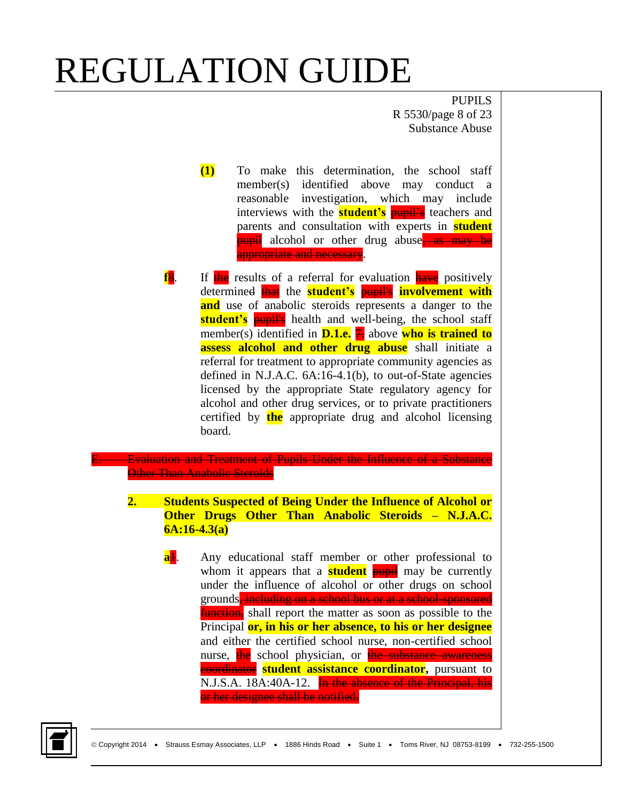PUPILS R 5530/page 8 of 23 Substance Abuse

- **(1)** To make this determination, the school staff member(s) identified above may conduct a reasonable investigation, which may include interviews with the **student's pupil's** teachers and parents and consultation with experts in **student pupil** alcohol or other drug abuse, as may be appropriate and necessary.
- **f<sub>8</sub>.** If the results of a referral for evaluation have positively determined that the **student's** pupil's **involvement with and** use of anabolic steroids represents a danger to the **student's pupil's** health and well-being, the school staff member(s) identified in **D.1.e.** 7. above who is trained to **assess alcohol and other drug abuse** shall initiate a referral for treatment to appropriate community agencies as defined in N.J.A.C. 6A:16-4.1(b), to out-of-State agencies licensed by the appropriate State regulatory agency for alcohol and other drug services, or to private practitioners certified by **the** appropriate drug and alcohol licensing board.

**Evaluation and Treatment of Pupils Under the Influence of a Substance Other Than Anabolic Steroids** 

- **2. Students Suspected of Being Under the Influence of Alcohol or Other Drugs Other Than Anabolic Steroids – N.J.A.C. 6A:16-4.3(a)**
	- **a<sup>1</sup>.** Any educational staff member or other professional to whom it appears that a **student pupil** may be currently under the influence of alcohol or other drugs on school grounds, including on a school bus or at a school-sponsored **function**, shall report the matter as soon as possible to the Principal **or, in his or her absence, to his or her designee** and either the certified school nurse, non-certified school nurse, the school physician, or the substance awareness coordinator **student assistance coordinator,** pursuant to N.J.S.A. 18A:40A-12. In the absence of the Principal, his or her designee shall be notified.

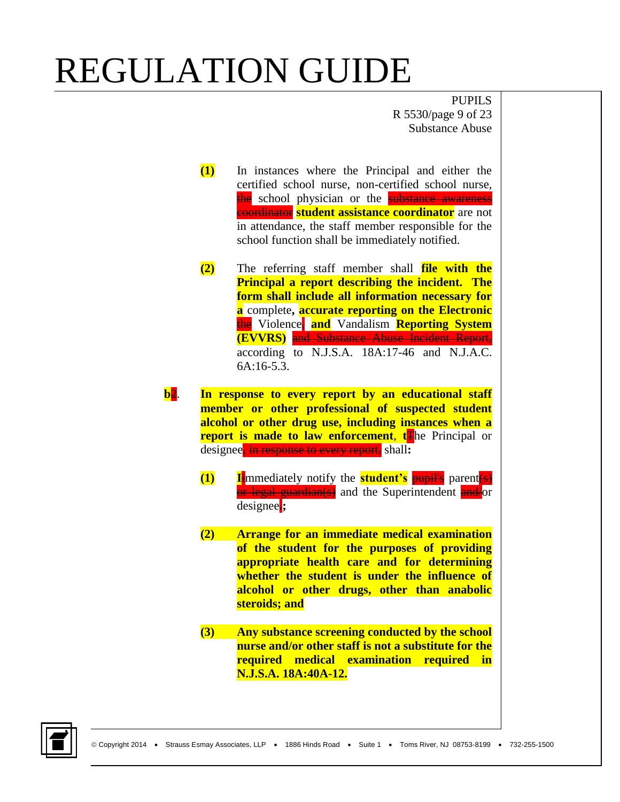PUPILS R 5530/page 9 of 23 Substance Abuse

- **(1)** In instances where the Principal and either the certified school nurse, non-certified school nurse, the school physician or the substance awareness **coordinator student assistance coordinator** are not in attendance, the staff member responsible for the school function shall be immediately notified.
- **(2)** The referring staff member shall **file with the Principal a report describing the incident. The form shall include all information necessary for a** complete**, accurate reporting on the Electronic** the Violence, **and** Vandalism **Reporting System (EVVRS)** and Substance Abuse Incident Report, according to N.J.S.A. 18A:17-46 and N.J.A.C. 6A:16-5.3.
- **b**2. **In response to every report by an educational staff member or other professional of suspected student alcohol or other drug use, including instances when a report is made to law enforcement, to Principal or** designee, in response to every report, shall**:**
	- **(1) I**immediately notify the **student's** pupil's parent(s) or legal guardian(s) and the Superintendent and/or designee.**;**
	- **(2) Arrange for an immediate medical examination of the student for the purposes of providing appropriate health care and for determining whether the student is under the influence of alcohol or other drugs, other than anabolic steroids; and**
	- **(3) Any substance screening conducted by the school nurse and/or other staff is not a substitute for the required medical examination required in N.J.S.A. 18A:40A-12.**

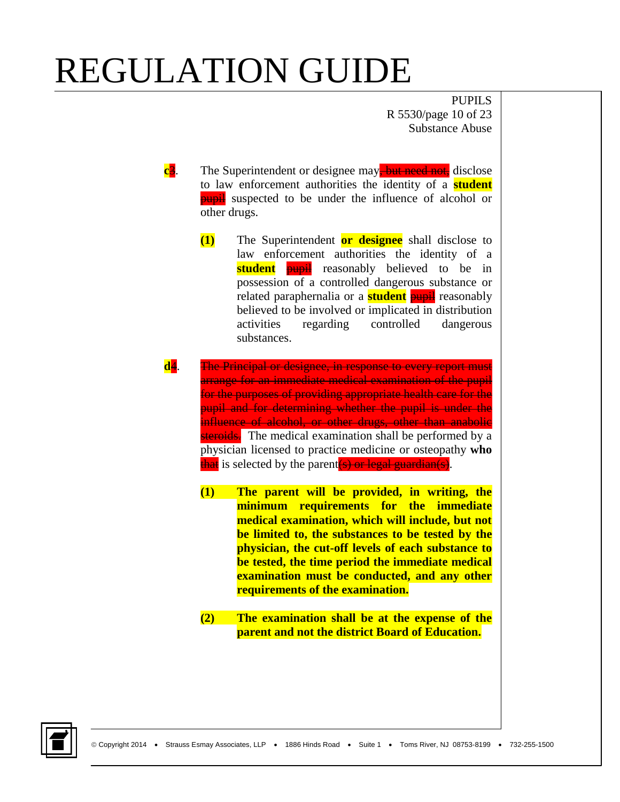PUPILS R 5530/page 10 of 23 Substance Abuse

- **c**3. The Superintendent or designee may<del>, but need not,</del> disclose to law enforcement authorities the identity of a **student pupil** suspected to be under the influence of alcohol or other drugs.
	- **(1)** The Superintendent **or designee** shall disclose to law enforcement authorities the identity of a **student pupil** reasonably believed to be in possession of a controlled dangerous substance or related paraphernalia or a **student** pupil reasonably believed to be involved or implicated in distribution activities regarding controlled dangerous substances.
- **d**4. The Principal or designee, in response to every report must arrange for an immediate medical examination of the pupil for the purposes of providing appropriate health care for the pupil and for determining whether the pupil is under the influence of alcohol, or other drugs, other than anabolic steroids. The medical examination shall be performed by a physician licensed to practice medicine or osteopathy **who** that is selected by the parent  $(s)$  or legal guardian(s).
	- **(1) The parent will be provided, in writing, the minimum requirements for the immediate medical examination, which will include, but not be limited to, the substances to be tested by the physician, the cut-off levels of each substance to be tested, the time period the immediate medical examination must be conducted, and any other requirements of the examination.**
	- **(2) The examination shall be at the expense of the parent and not the district Board of Education.**

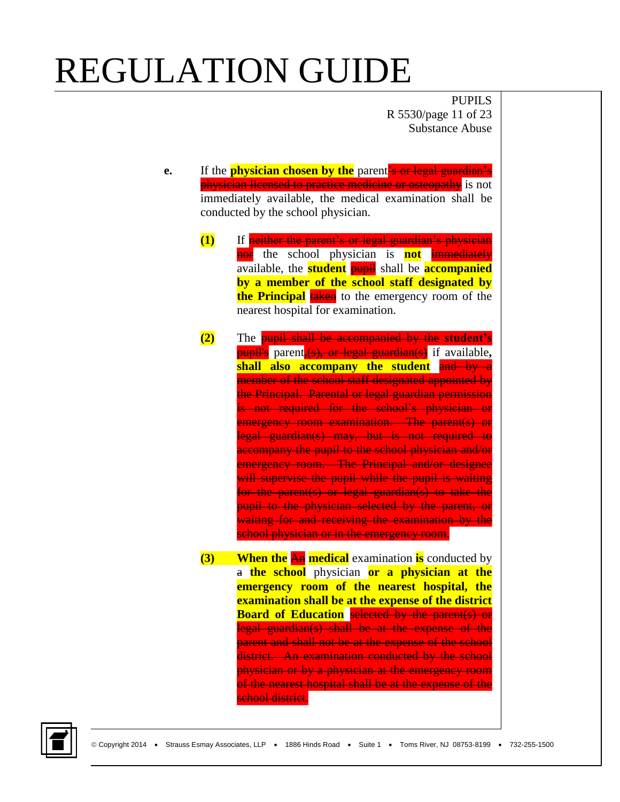PUPILS R 5530/page 11 of 23 Substance Abuse

**e.** If the **physician chosen by the** parent's or legal guardian's physician licensed to practice medicine or osteopathy is not immediately available, the medical examination shall be conducted by the school physician.

- **(1)** If neither the parent's or legal guardian's physician nor the school physician is **not** immediately available, the **student** pupil shall be **accompanied by a member of the school staff designated by the Principal** taken to the emergency room of the nearest hospital for examination.
- **(2)** The pupil shall be accompanied by the **student's**  pupil's parent**,**(s)**,** or legal guardian(s) if available**, shall also accompany the student** and by a member of the school staff designated appointed by the Principal. Parental or legal guardian permission is not required for the school's physician or emergency room examination. The parent(s) or legal guardian(s) may, but is not required to accompany the pupil to the school physician and/or emergency room. The Principal and/or designee will supervise the pupil while the pupil is waiting for the parent(s) or legal guardian(s) to take the pupil to the physician selected by the parent, or waiting for and receiving the examination by the school physician or in the emergency room.
- **(3) When the** An **medical** examination **is** conducted by a **the school** physician **or a physician at the emergency room of the nearest hospital, the examination shall be at the expense of the district Board of Education** selected by the parent(s) or legal guardian(s) shall be at the expense of the parent and shall not be at the expense of the school district. An examination conducted by the school physician or by a physician at the emergency room of the nearest hospital shall be at the expense of the school district.

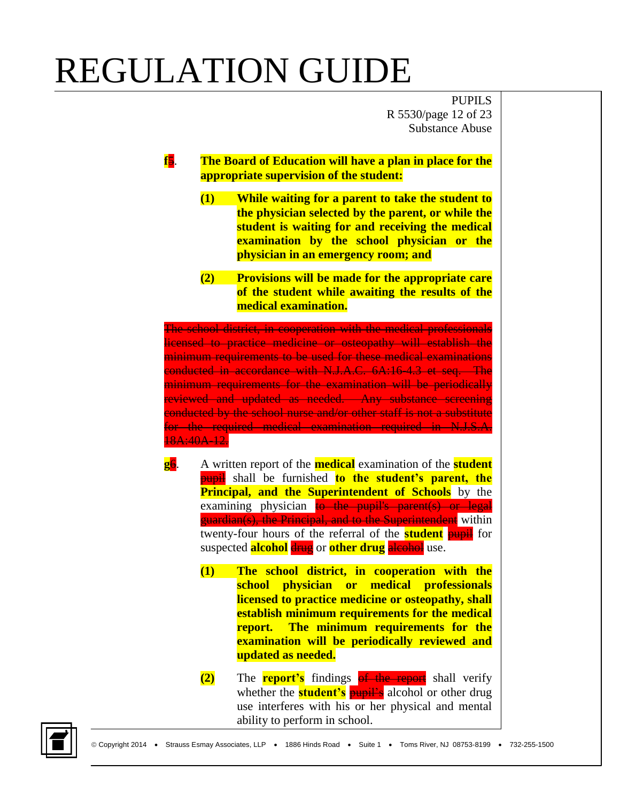PUPILS R 5530/page 12 of 23 Substance Abuse

- **f**5. **The Board of Education will have a plan in place for the appropriate supervision of the student:**
	- **(1) While waiting for a parent to take the student to the physician selected by the parent, or while the student is waiting for and receiving the medical examination by the school physician or the physician in an emergency room; and**
	- **(2) Provisions will be made for the appropriate care of the student while awaiting the results of the medical examination.**

The school district, in cooperation with the medical professional**s** licensed to practice medicine or osteopathy will establish the minimum requirements to be used for these medical examinations conducted in accordance with N.J.A.C. 6A:16-4.3 et seq.The minimum requirements for the examination will be periodically reviewed and updated as needed. Any substance screening conducted by the school nurse and/or other staff is not a substitute for the required medical examination required in N.J.S.A. 18A:40A-12.

- **g**6. A written report of the **medical** examination of the **student** pupil shall be furnished **to the student's parent, the Principal, and the Superintendent of Schools** by the examining physician to the pupil's parent(s) or legal guardian(s), the Principal, and to the Superintendent within twenty-four hours of the referral of the **student** pupil for suspected **alcohol** drug or **other drug** alcohol use.
	- **(1) The school district, in cooperation with the school physician or medical professionals licensed to practice medicine or osteopathy, shall establish minimum requirements for the medical report. The minimum requirements for the examination will be periodically reviewed and updated as needed.**
	- **(2)** The **report's** findings **of the report** shall verify whether the **student's pupil's** alcohol or other drug use interferes with his or her physical and mental ability to perform in school.

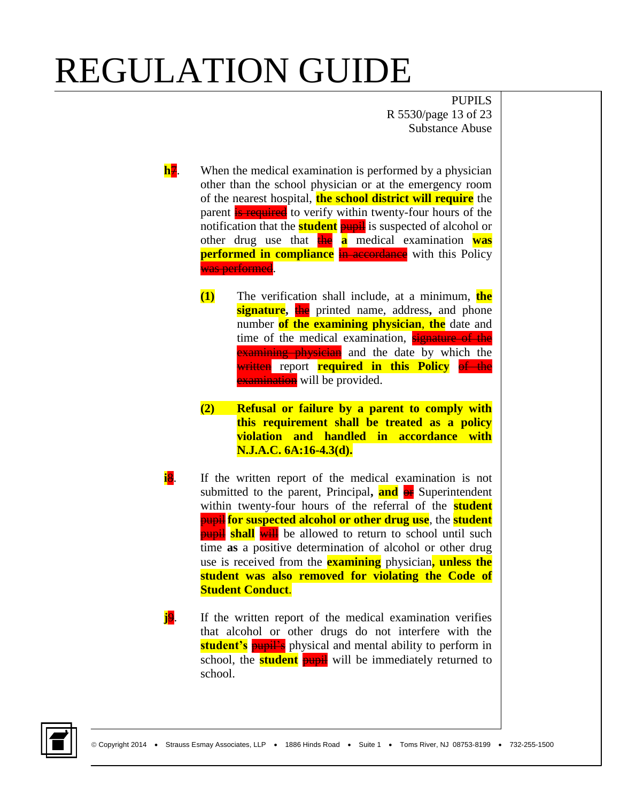PUPILS R 5530/page 13 of 23 Substance Abuse

- **h**<sub>7</sub>. When the medical examination is performed by a physician other than the school physician or at the emergency room of the nearest hospital, **the school district will require** the parent **is required** to verify within twenty-four hours of the notification that the **student** pupil is suspected of alcohol or other drug use that the **a** medical examination **was performed in compliance** in accordance with this Policy was performed.
	- **(1)** The verification shall include, at a minimum, **the signature,** the printed name, address**,** and phone number **of the examining physician**, **the** date and time of the medical examination, signature of the **Examining physician** and the date by which the written report **required in this Policy** of the **examination** will be provided.
	- **(2) Refusal or failure by a parent to comply with this requirement shall be treated as a policy violation and handled in accordance with N.J.A.C. 6A:16-4.3(d).**
- **i**8. If the written report of the medical examination is not submitted to the parent, Principal**, and** or Superintendent within twenty-four hours of the referral of the **student** pupil **for suspected alcohol or other drug use**, the **student pupil shall** will be allowed to return to school until such time **as** a positive determination of alcohol or other drug use is received from the **examining** physician**, unless the student was also removed for violating the Code of Student Conduct**.
- **j**9. If the written report of the medical examination verifies that alcohol or other drugs do not interfere with the **student's pupil's** physical and mental ability to perform in school, the **student pupil** will be immediately returned to school.

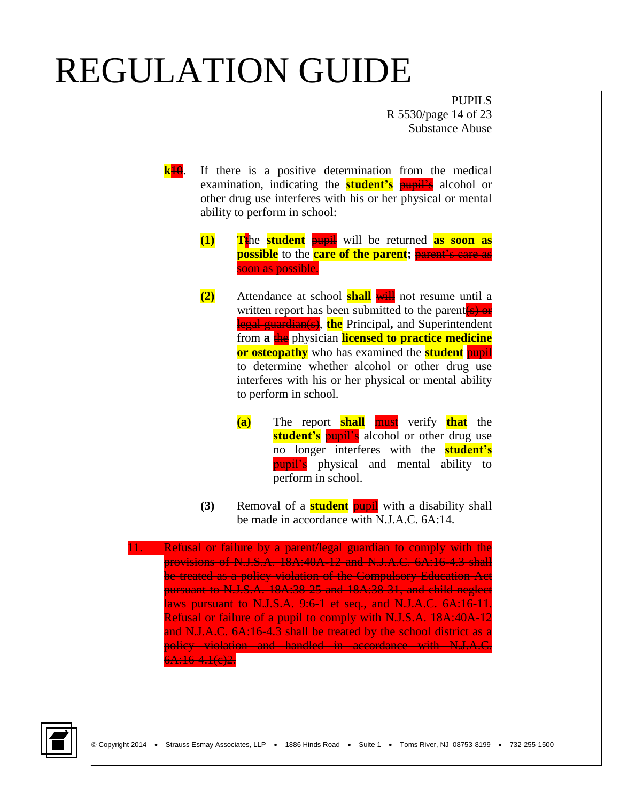PUPILS R 5530/page 14 of 23 Substance Abuse

- **k**10. If there is a positive determination from the medical examination, indicating the **student's** pupil's alcohol or other drug use interferes with his or her physical or mental ability to perform in school:
	- **(1) T**the **student** pupil will be returned **as soon as possible** to the **care of the parent; parent's care as** soon as possible.
	- **(2)** Attendance at school **shall** will not resume until a written report has been submitted to the parent $(s)$  or legal guardian(s), **the** Principal**,** and Superintendent from **a** the physician **licensed to practice medicine or osteopathy** who has examined the **student** pupil to determine whether alcohol or other drug use interferes with his or her physical or mental ability to perform in school.
		- **(a)** The report **shall** must verify **that** the **student's pupil's** alcohol or other drug use no longer interferes with the **student's pupil's** physical and mental ability to perform in school.
	- **(3)** Removal of a **student** pupil with a disability shall be made in accordance with N.J.A.C. 6A:14.

11. Refusal or failure by a parent/legal guardian to comply with the provisions of N.J.S.A. 18A:40A-12 and N.J.A.C. 6A:16-4.3 shall be treated as a policy violation of the Compulsory Education Act pursuant to N.J.S.A. 18A:38-25 and 18A:38-31, and child neglect laws pursuant to N.J.S.A. 9:6-1 et seq., and N.J.A.C. 6A:16-11. Refusal or failure of a pupil to comply with N.J.S.A. 18A:40A-12 and N.J.A.C. 6A:16-4.3 shall be treated by the school district as a policy violation and handled in accordance with N.J.A.C. 6A:16-4.1(e)2.

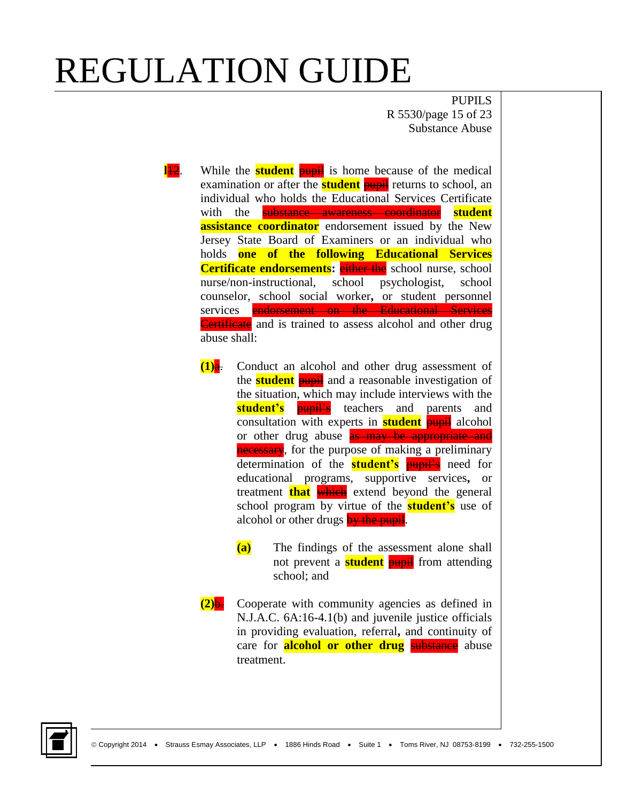PUPILS R 5530/page 15 of 23 Substance Abuse

- **l<sup>12</sup>.** While the **student pupil** is home because of the medical examination or after the **student pupil** returns to school, an individual who holds the Educational Services Certificate with the substance awareness coordinator **student assistance coordinator** endorsement issued by the New Jersey State Board of Examiners or an individual who holds **one of the following Educational Services Certificate endorsements:** either the school nurse, school nurse/non-instructional, school psychologist, school counselor, school social worker**,** or student personnel services endorsement on the Educational Services Certificate and is trained to assess alcohol and other drug abuse shall:
	- **(1)**a. Conduct an alcohol and other drug assessment of the **student** pupil and a reasonable investigation of the situation, which may include interviews with the **student's pupil's** teachers and parents and consultation with experts in **student** pupil alcohol or other drug abuse **as may be appropriate and** necessary, for the purpose of making a preliminary determination of the **student's** pupil's need for educational programs, supportive services**,** or treatment **that** which extend beyond the general school program by virtue of the **student's** use of alcohol or other drugs by the pupil.
		- **(a)** The findings of the assessment alone shall not prevent a **student pupil** from attending school; and
	- **(2)**b. Cooperate with community agencies as defined in N.J.A.C. 6A:16-4.1(b) and juvenile justice officials in providing evaluation, referral**,** and continuity of care for **alcohol or other drug** substance abuse treatment.

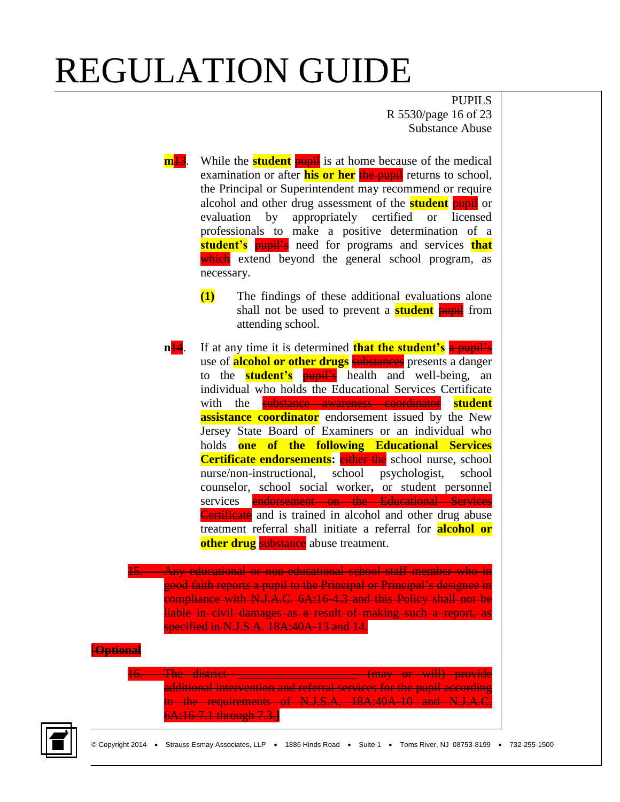PUPILS R 5530/page 16 of 23 Substance Abuse

**m<sup>13</sup>**. While the **student** pupil is at home because of the medical examination or after **his or her** the pupil returns to school, the Principal or Superintendent may recommend or require alcohol and other drug assessment of the **student** pupil or evaluation by appropriately certified or licensed professionals to make a positive determination of a **student's** pupil's need for programs and services **that** which extend beyond the general school program, as necessary. **(1)** The findings of these additional evaluations alone shall not be used to prevent a **student pupil** from attending school. **n<sup>14</sup>.** If at any time it is determined **that the student's** a pupil's use of **alcohol or other drugs** substances presents a danger to the **student's** pupil's health and well-being, an individual who holds the Educational Services Certificate with the substance awareness coordinator **student assistance coordinator** endorsement issued by the New Jersey State Board of Examiners or an individual who holds **one of the following Educational Services Certificate endorsements:** either the school nurse, school nurse/non-instructional, school psychologist, school counselor, school social worker**,** or student personnel services endorsement on the Educational Services **Certificate** and is trained in alcohol and other drug abuse treatment referral shall initiate a referral for **alcohol or other drug** substance abuse treatment. 15. Any educational or non-educational school staff member who in good faith reports a pupil to the Principal or Principal's designee in compliance with N.J.A.C. 6A:16-4.3 and this Policy shall not be liable in civil damages as a result of making such a report, as specified in N.J.S.A. 18A:40A-13 and 14. [**Optional**  The district \_\_\_\_\_\_\_\_\_\_\_\_\_\_\_\_\_\_\_\_\_\_\_ (may or will) provide additional intervention and referral services for the pupil according to the requirements of N.J.S.A. 18A:40A-10 and N.J.A.C. 6A:16-7.1 through 7.3.**]**

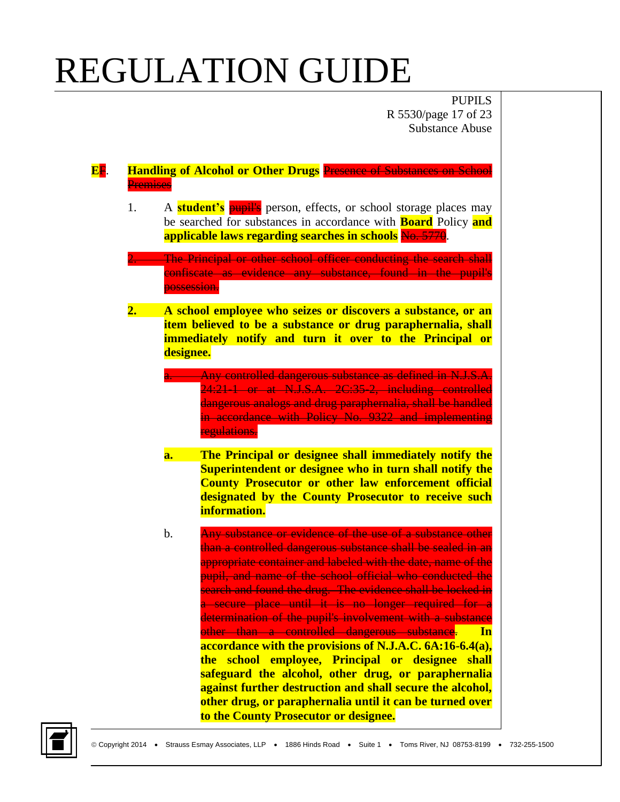PUPILS R 5530/page 17 of 23 Substance Abuse

**E**F. **Handling of Alcohol or Other Drugs** Presence of Substances on School **Premises** 

1. A **student's** pupil's person, effects, or school storage places may be searched for substances in accordance with **Board** Policy **and applicable laws regarding searches in schools** No. 5770.

The Principal or other school officer conducting the search shall confiscate as evidence any substance, found in the pupil's possession.

- **2. A school employee who seizes or discovers a substance, or an item believed to be a substance or drug paraphernalia, shall immediately notify and turn it over to the Principal or designee.**
	- a. Any controlled dangerous substance as defined in N.J.S.A. 24:21-1 or at N.J.S.A. 2C:35-2, including controlled dangerous analogs and drug paraphernalia, shall be handled in accordance with Policy No. 9322 and implementing regulations.
	- **a. The Principal or designee shall immediately notify the Superintendent or designee who in turn shall notify the County Prosecutor or other law enforcement official designated by the County Prosecutor to receive such information.**
	- b. Any substance or evidence of the use of a substance other than a controlled dangerous substance shall be sealed in an appropriate container and labeled with the date, name of the pupil, and name of the school official who conducted the search and found the drug. The evidence shall be locked in a secure place until it is no longer required for a determination of the pupil's involvement with a substance other than a controlled dangerous substance. **In accordance with the provisions of N.J.A.C. 6A:16-6.4(a), the school employee, Principal or designee shall safeguard the alcohol, other drug, or paraphernalia against further destruction and shall secure the alcohol, other drug, or paraphernalia until it can be turned over to the County Prosecutor or designee.**

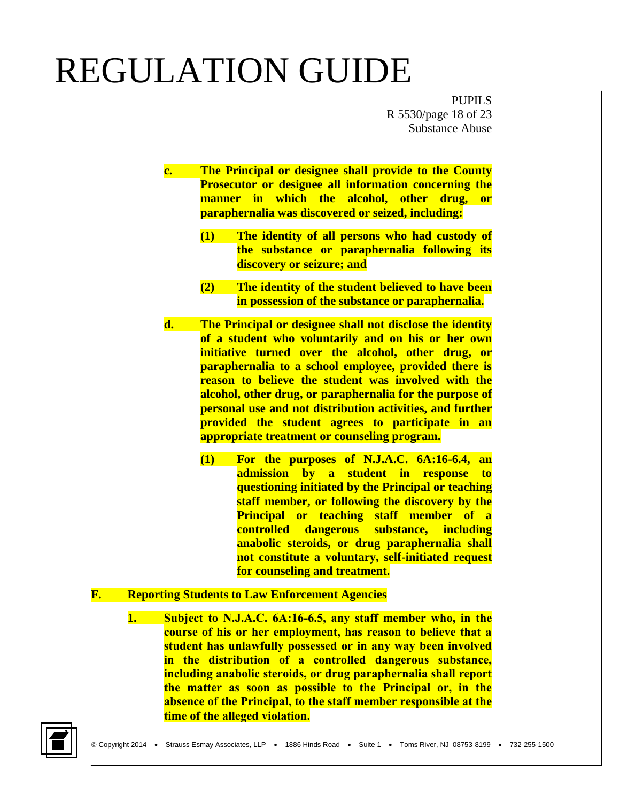PUPILS R 5530/page 18 of 23 Substance Abuse

- **c. The Principal or designee shall provide to the County Prosecutor or designee all information concerning the manner in which the alcohol, other drug, or paraphernalia was discovered or seized, including:**
	- **(1) The identity of all persons who had custody of the substance or paraphernalia following its discovery or seizure; and**
	- **(2) The identity of the student believed to have been in possession of the substance or paraphernalia.**
- **d. The Principal or designee shall not disclose the identity of a student who voluntarily and on his or her own initiative turned over the alcohol, other drug, or paraphernalia to a school employee, provided there is reason to believe the student was involved with the alcohol, other drug, or paraphernalia for the purpose of personal use and not distribution activities, and further provided the student agrees to participate in an appropriate treatment or counseling program.**
	- **(1) For the purposes of N.J.A.C. 6A:16-6.4, an admission by a student in response to questioning initiated by the Principal or teaching staff member, or following the discovery by the Principal or teaching staff member of a controlled dangerous substance, including anabolic steroids, or drug paraphernalia shall not constitute a voluntary, self-initiated request for counseling and treatment.**
- **F. Reporting Students to Law Enforcement Agencies**
	- **1. Subject to N.J.A.C. 6A:16-6.5, any staff member who, in the course of his or her employment, has reason to believe that a student has unlawfully possessed or in any way been involved in the distribution of a controlled dangerous substance, including anabolic steroids, or drug paraphernalia shall report the matter as soon as possible to the Principal or, in the absence of the Principal, to the staff member responsible at the time of the alleged violation.**

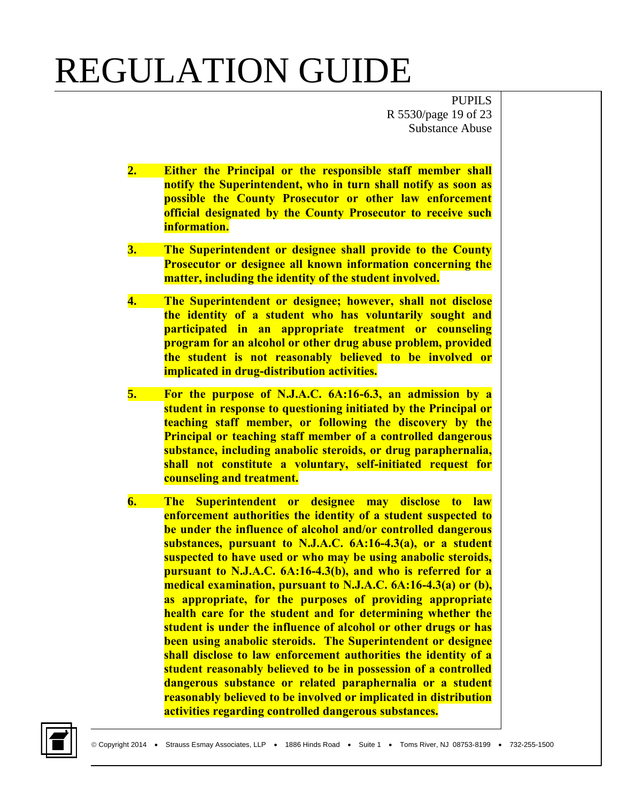PUPILS R 5530/page 19 of 23 Substance Abuse

- **2. Either the Principal or the responsible staff member shall notify the Superintendent, who in turn shall notify as soon as possible the County Prosecutor or other law enforcement official designated by the County Prosecutor to receive such information.**
- **3. The Superintendent or designee shall provide to the County Prosecutor or designee all known information concerning the matter, including the identity of the student involved.**
- **4. The Superintendent or designee; however, shall not disclose the identity of a student who has voluntarily sought and participated in an appropriate treatment or counseling program for an alcohol or other drug abuse problem, provided the student is not reasonably believed to be involved or implicated in drug-distribution activities.**
- **5. For the purpose of N.J.A.C. 6A:16-6.3, an admission by a student in response to questioning initiated by the Principal or teaching staff member, or following the discovery by the Principal or teaching staff member of a controlled dangerous substance, including anabolic steroids, or drug paraphernalia, shall not constitute a voluntary, self-initiated request for counseling and treatment.**
- **6. The Superintendent or designee may disclose to law enforcement authorities the identity of a student suspected to be under the influence of alcohol and/or controlled dangerous substances, pursuant to N.J.A.C. 6A:16-4.3(a), or a student suspected to have used or who may be using anabolic steroids, pursuant to N.J.A.C. 6A:16-4.3(b), and who is referred for a medical examination, pursuant to N.J.A.C. 6A:16-4.3(a) or (b), as appropriate, for the purposes of providing appropriate health care for the student and for determining whether the student is under the influence of alcohol or other drugs or has been using anabolic steroids. The Superintendent or designee shall disclose to law enforcement authorities the identity of a student reasonably believed to be in possession of a controlled dangerous substance or related paraphernalia or a student reasonably believed to be involved or implicated in distribution activities regarding controlled dangerous substances.**

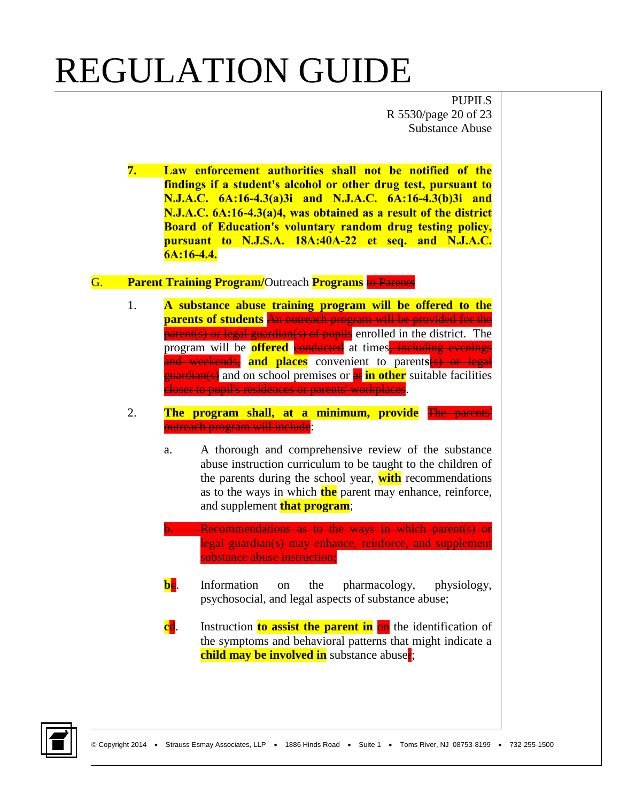PUPILS R 5530/page 20 of 23 Substance Abuse

**7. Law enforcement authorities shall not be notified of the findings if a student's alcohol or other drug test, pursuant to N.J.A.C. 6A:16-4.3(a)3i and N.J.A.C. 6A:16-4.3(b)3i and N.J.A.C. 6A:16-4.3(a)4, was obtained as a result of the district Board of Education's voluntary random drug testing policy, pursuant to N.J.S.A. 18A:40A-22 et seq. and N.J.A.C. 6A:16-4.4.**

#### G. **Parent Training Program/**Outreach **Programs** to Parents

- 1. **A substance abuse training program will be offered to the parents of students** An outreach program will be provided for the parent(s) or legal guardian(s) of pupils enrolled in the district. The program will be **offered** conducted at times, including evenings and weekends, **and places** convenient to parent**s**(s) or legal *guardian(s)* and on school premises or **at in other** suitable facilities closer to pupil's residences or parents' workplaces.
- 2. **The program shall, at a minimum, provide** The parents' outreach program will include:
	- a. A thorough and comprehensive review of the substance abuse instruction curriculum to be taught to the children of the parents during the school year, **with** recommendations as to the ways in which **the** parent may enhance, reinforce, and supplement **that program**;
	- b. Recommendations as to the ways in which parent(s) or legal guardian(s) may enhance, reinforce, and supplement substance abuse instruction;
	- **be.** Information on the pharmacology, physiology, psychosocial, and legal aspects of substance abuse;
	- **cd.** Instruction **to assist the parent in**  $\theta$ **n** the identification of the symptoms and behavioral patterns that might indicate a **child may be involved in** substance abuse**r**;

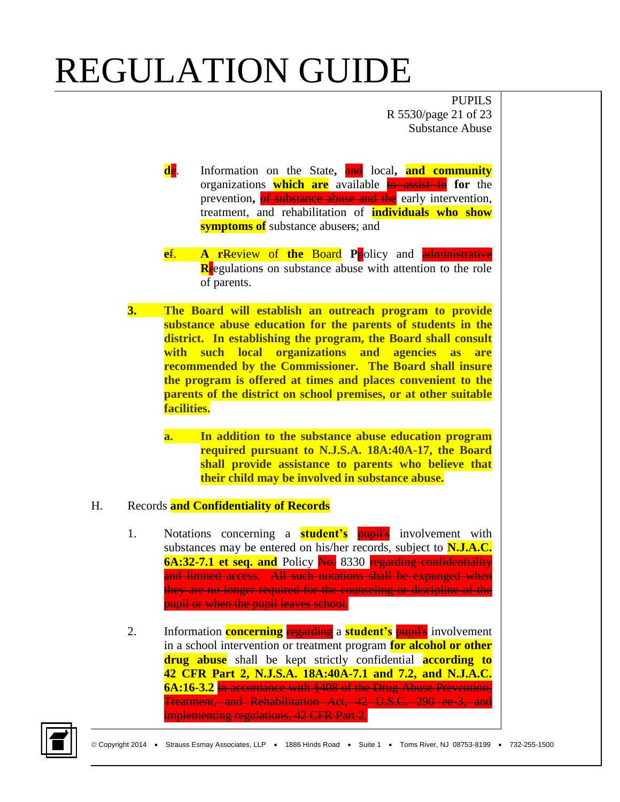PUPILS R 5530/page 21 of 23 Substance Abuse

- **de.** Information on the State, and local, and community organizations **which are** available to assist in **for** the prevention**,** of substance abuse and the early intervention, treatment, and rehabilitation of **individuals who show symptoms of** substance abusers; and
- **e**f. **A r**Review of **the** Board **P**policy and administrative **Rregulations** on substance abuse with attention to the role of parents.
- **3. The Board will establish an outreach program to provide substance abuse education for the parents of students in the district. In establishing the program, the Board shall consult with such local organizations and agencies as are recommended by the Commissioner. The Board shall insure the program is offered at times and places convenient to the parents of the district on school premises, or at other suitable facilities.** 
	- **a. In addition to the substance abuse education program required pursuant to N.J.S.A. 18A:40A-17, the Board shall provide assistance to parents who believe that their child may be involved in substance abuse.**

#### H. Records **and Confidentiality of Records**

- 1. Notations concerning a **student's** pupil's involvement with substances may be entered on his/her records, subject to **N.J.A.C. 6A:32-7.1 et seq. and** Policy No. 8330 regarding confidentiality and limited access. All such notations shall be expunged when they are no longer required for the counseling or discipline of the pupil or when the pupil leaves school.
- 2. Information **concerning** regarding a **student's** pupil's involvement in a school intervention or treatment program **for alcohol or other drug abuse** shall be kept strictly confidential **according to 42 CFR Part 2, N.J.S.A. 18A:40A-7.1 and 7.2, and N.J.A.C. 6A:16-3.2** in accordance with §408 of the Drug Abuse Prevention, Treatment, and Rehabilitation Act, 42 U.S.C. 290 ee-3, and implementing regulations, 42 CFR Part 2.

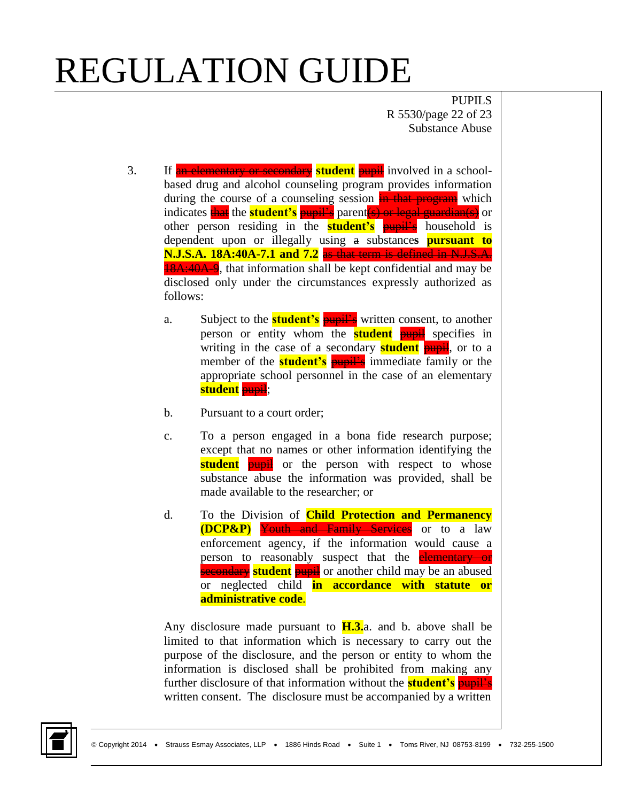PUPILS R 5530/page 22 of 23 Substance Abuse

- 3. If an elementary or secondary **student** pupil involved in a schoolbased drug and alcohol counseling program provides information during the course of a counseling session in that program which indicates **that** the **student's** pupil's parent (s) or legal guardian(s) or other person residing in the **student's pupil's** household is dependent upon or illegally using a substance**s pursuant to N.J.S.A. 18A:40A-7.1 and 7.2** as that term is defined in N.J.S.A. **18A:40A-9**, that information shall be kept confidential and may be disclosed only under the circumstances expressly authorized as follows:
	- a. Subject to the **student's pupil's** written consent, to another person or entity whom the **student pupil** specifies in writing in the case of a secondary **student** pupil, or to a member of the **student's pupil's** immediate family or the appropriate school personnel in the case of an elementary **student** pupil;
	- b. Pursuant to a court order;
	- c. To a person engaged in a bona fide research purpose; except that no names or other information identifying the **student pupil** or the person with respect to whose substance abuse the information was provided, shall be made available to the researcher; or
	- d. To the Division of **Child Protection and Permanency (DCP&P)** Youth and Family Services or to a law enforcement agency, if the information would cause a person to reasonably suspect that the **elementary or secondary student** pupil or another child may be an abused or neglected child **in accordance with statute or administrative code**.

Any disclosure made pursuant to **H.3.**a. and b. above shall be limited to that information which is necessary to carry out the purpose of the disclosure, and the person or entity to whom the information is disclosed shall be prohibited from making any further disclosure of that information without the **student's** pupil's written consent. The disclosure must be accompanied by a written